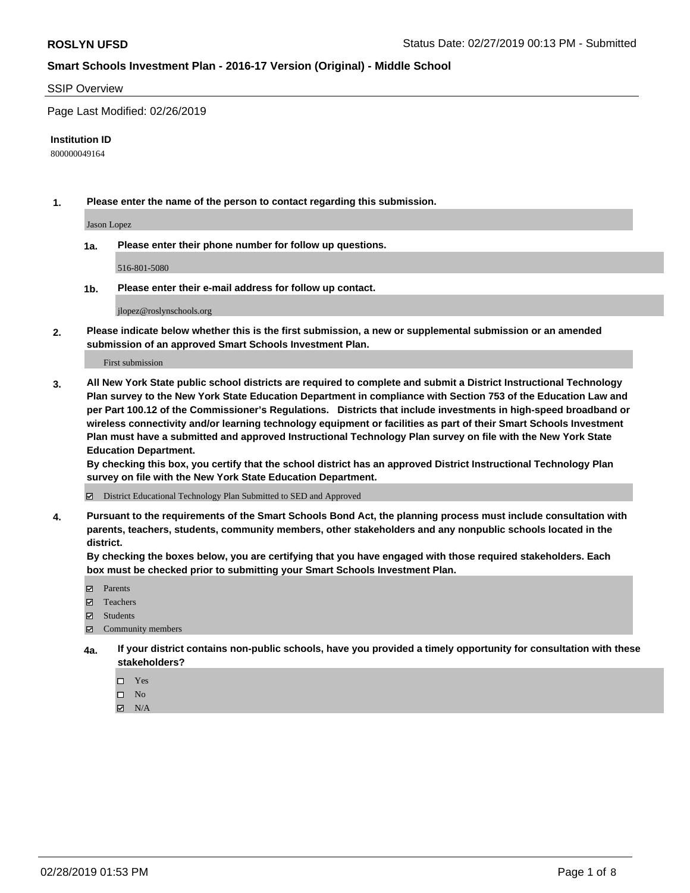#### SSIP Overview

Page Last Modified: 02/26/2019

#### **Institution ID**

800000049164

**1. Please enter the name of the person to contact regarding this submission.**

Jason Lopez

**1a. Please enter their phone number for follow up questions.**

516-801-5080

**1b. Please enter their e-mail address for follow up contact.**

jlopez@roslynschools.org

**2. Please indicate below whether this is the first submission, a new or supplemental submission or an amended submission of an approved Smart Schools Investment Plan.**

First submission

**3. All New York State public school districts are required to complete and submit a District Instructional Technology Plan survey to the New York State Education Department in compliance with Section 753 of the Education Law and per Part 100.12 of the Commissioner's Regulations. Districts that include investments in high-speed broadband or wireless connectivity and/or learning technology equipment or facilities as part of their Smart Schools Investment Plan must have a submitted and approved Instructional Technology Plan survey on file with the New York State Education Department.** 

**By checking this box, you certify that the school district has an approved District Instructional Technology Plan survey on file with the New York State Education Department.**

District Educational Technology Plan Submitted to SED and Approved

**4. Pursuant to the requirements of the Smart Schools Bond Act, the planning process must include consultation with parents, teachers, students, community members, other stakeholders and any nonpublic schools located in the district.** 

**By checking the boxes below, you are certifying that you have engaged with those required stakeholders. Each box must be checked prior to submitting your Smart Schools Investment Plan.**

- **□** Parents
- Teachers
- Students
- $\boxtimes$  Community members
- **4a. If your district contains non-public schools, have you provided a timely opportunity for consultation with these stakeholders?**
	- $\Box$  Yes
	- $\qquad \qquad$  No
	- $\blacksquare$  N/A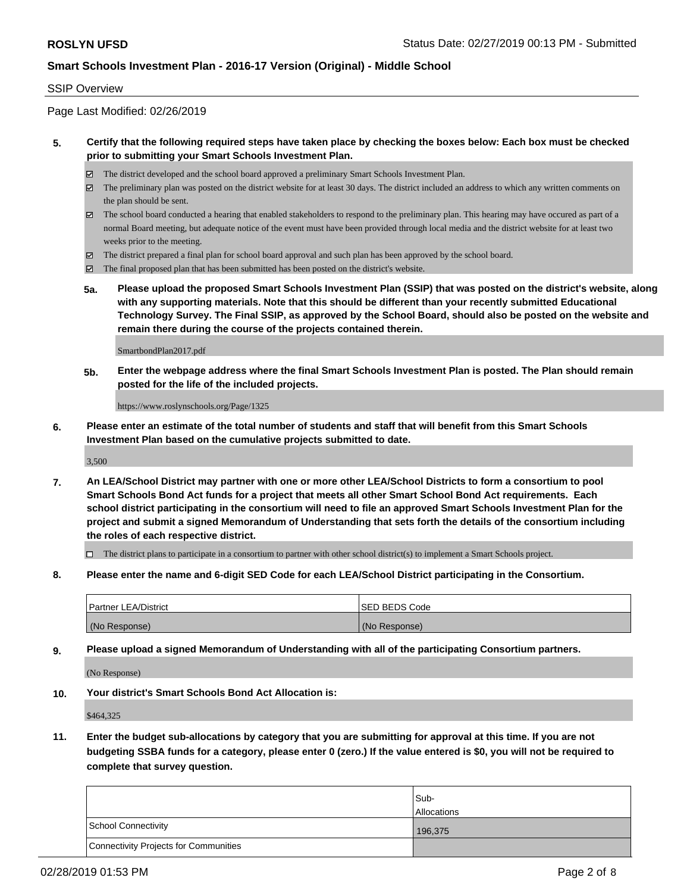### SSIP Overview

Page Last Modified: 02/26/2019

### **5. Certify that the following required steps have taken place by checking the boxes below: Each box must be checked prior to submitting your Smart Schools Investment Plan.**

- The district developed and the school board approved a preliminary Smart Schools Investment Plan.
- $\boxtimes$  The preliminary plan was posted on the district website for at least 30 days. The district included an address to which any written comments on the plan should be sent.
- $\boxtimes$  The school board conducted a hearing that enabled stakeholders to respond to the preliminary plan. This hearing may have occured as part of a normal Board meeting, but adequate notice of the event must have been provided through local media and the district website for at least two weeks prior to the meeting.
- The district prepared a final plan for school board approval and such plan has been approved by the school board.
- $\boxtimes$  The final proposed plan that has been submitted has been posted on the district's website.
- **5a. Please upload the proposed Smart Schools Investment Plan (SSIP) that was posted on the district's website, along with any supporting materials. Note that this should be different than your recently submitted Educational Technology Survey. The Final SSIP, as approved by the School Board, should also be posted on the website and remain there during the course of the projects contained therein.**

SmartbondPlan2017.pdf

**5b. Enter the webpage address where the final Smart Schools Investment Plan is posted. The Plan should remain posted for the life of the included projects.**

https://www.roslynschools.org/Page/1325

**6. Please enter an estimate of the total number of students and staff that will benefit from this Smart Schools Investment Plan based on the cumulative projects submitted to date.**

3,500

**7. An LEA/School District may partner with one or more other LEA/School Districts to form a consortium to pool Smart Schools Bond Act funds for a project that meets all other Smart School Bond Act requirements. Each school district participating in the consortium will need to file an approved Smart Schools Investment Plan for the project and submit a signed Memorandum of Understanding that sets forth the details of the consortium including the roles of each respective district.**

 $\Box$  The district plans to participate in a consortium to partner with other school district(s) to implement a Smart Schools project.

**8. Please enter the name and 6-digit SED Code for each LEA/School District participating in the Consortium.**

| <b>Partner LEA/District</b> | <b>ISED BEDS Code</b> |
|-----------------------------|-----------------------|
| (No Response)               | (No Response)         |

**9. Please upload a signed Memorandum of Understanding with all of the participating Consortium partners.**

(No Response)

**10. Your district's Smart Schools Bond Act Allocation is:**

\$464,325

**11. Enter the budget sub-allocations by category that you are submitting for approval at this time. If you are not budgeting SSBA funds for a category, please enter 0 (zero.) If the value entered is \$0, you will not be required to complete that survey question.**

|                                              | Sub-<br><b>Allocations</b> |
|----------------------------------------------|----------------------------|
| <b>School Connectivity</b>                   | 196,375                    |
| <b>Connectivity Projects for Communities</b> |                            |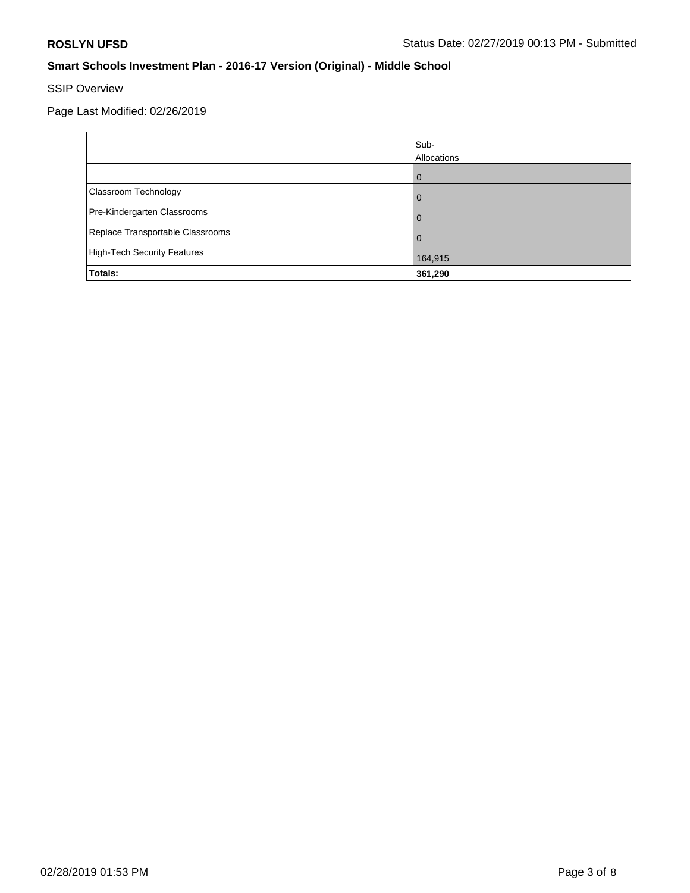# SSIP Overview

Page Last Modified: 02/26/2019

|                                  | Sub-<br>Allocations |
|----------------------------------|---------------------|
|                                  | $\Omega$            |
| Classroom Technology             | 0                   |
| Pre-Kindergarten Classrooms      | $\Omega$            |
| Replace Transportable Classrooms | $\Omega$            |
| High-Tech Security Features      | 164,915             |
| Totals:                          | 361,290             |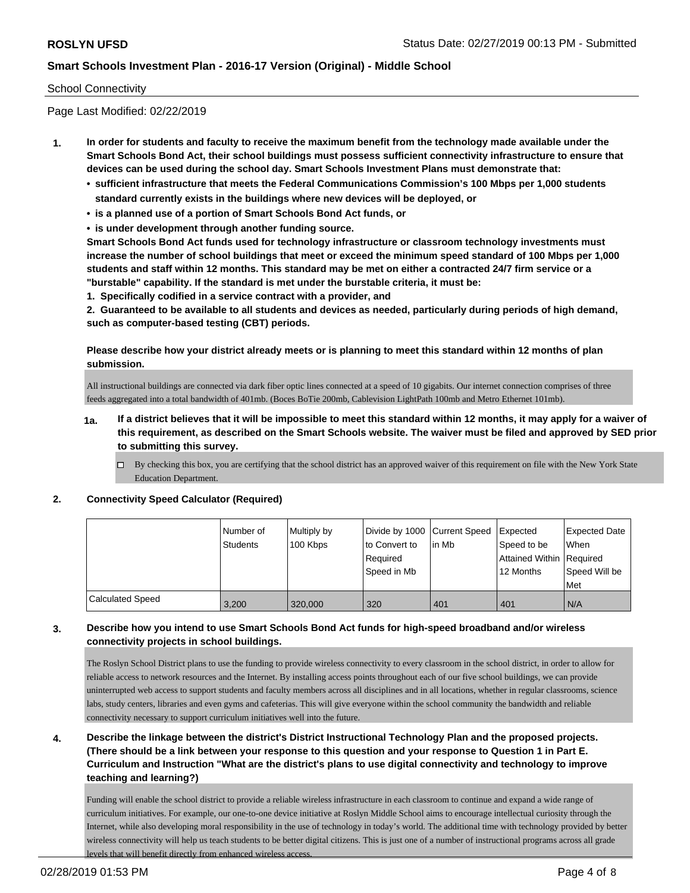#### School Connectivity

Page Last Modified: 02/22/2019

- **1. In order for students and faculty to receive the maximum benefit from the technology made available under the Smart Schools Bond Act, their school buildings must possess sufficient connectivity infrastructure to ensure that devices can be used during the school day. Smart Schools Investment Plans must demonstrate that:**
	- **• sufficient infrastructure that meets the Federal Communications Commission's 100 Mbps per 1,000 students standard currently exists in the buildings where new devices will be deployed, or**
	- **• is a planned use of a portion of Smart Schools Bond Act funds, or**
	- **• is under development through another funding source.**

**Smart Schools Bond Act funds used for technology infrastructure or classroom technology investments must increase the number of school buildings that meet or exceed the minimum speed standard of 100 Mbps per 1,000 students and staff within 12 months. This standard may be met on either a contracted 24/7 firm service or a "burstable" capability. If the standard is met under the burstable criteria, it must be:**

**1. Specifically codified in a service contract with a provider, and**

**2. Guaranteed to be available to all students and devices as needed, particularly during periods of high demand, such as computer-based testing (CBT) periods.**

### **Please describe how your district already meets or is planning to meet this standard within 12 months of plan submission.**

All instructional buildings are connected via dark fiber optic lines connected at a speed of 10 gigabits. Our internet connection comprises of three feeds aggregated into a total bandwidth of 401mb. (Boces BoTie 200mb, Cablevision LightPath 100mb and Metro Ethernet 101mb).

- **1a. If a district believes that it will be impossible to meet this standard within 12 months, it may apply for a waiver of this requirement, as described on the Smart Schools website. The waiver must be filed and approved by SED prior to submitting this survey.**
	- By checking this box, you are certifying that the school district has an approved waiver of this requirement on file with the New York State Education Department.

#### **2. Connectivity Speed Calculator (Required)**

|                         | Number of | Multiply by | Divide by 1000 Current Speed |        | Expected                   | <b>Expected Date</b> |
|-------------------------|-----------|-------------|------------------------------|--------|----------------------------|----------------------|
|                         | Students  | 100 Kbps    | to Convert to                | lin Mb | Speed to be                | <b>When</b>          |
|                         |           |             | Required                     |        | Attained Within   Required |                      |
|                         |           |             | Speed in Mb                  |        | 12 Months                  | Speed Will be        |
|                         |           |             |                              |        |                            | Met                  |
| <b>Calculated Speed</b> | 3.200     | 320,000     | 320                          | 401    | 401                        | N/A                  |

### **3. Describe how you intend to use Smart Schools Bond Act funds for high-speed broadband and/or wireless connectivity projects in school buildings.**

The Roslyn School District plans to use the funding to provide wireless connectivity to every classroom in the school district, in order to allow for reliable access to network resources and the Internet. By installing access points throughout each of our five school buildings, we can provide uninterrupted web access to support students and faculty members across all disciplines and in all locations, whether in regular classrooms, science labs, study centers, libraries and even gyms and cafeterias. This will give everyone within the school community the bandwidth and reliable connectivity necessary to support curriculum initiatives well into the future.

**4. Describe the linkage between the district's District Instructional Technology Plan and the proposed projects. (There should be a link between your response to this question and your response to Question 1 in Part E. Curriculum and Instruction "What are the district's plans to use digital connectivity and technology to improve teaching and learning?)**

Funding will enable the school district to provide a reliable wireless infrastructure in each classroom to continue and expand a wide range of curriculum initiatives. For example, our one-to-one device initiative at Roslyn Middle School aims to encourage intellectual curiosity through the Internet, while also developing moral responsibility in the use of technology in today's world. The additional time with technology provided by better wireless connectivity will help us teach students to be better digital citizens. This is just one of a number of instructional programs across all grade levels that will benefit directly from enhanced wireless access.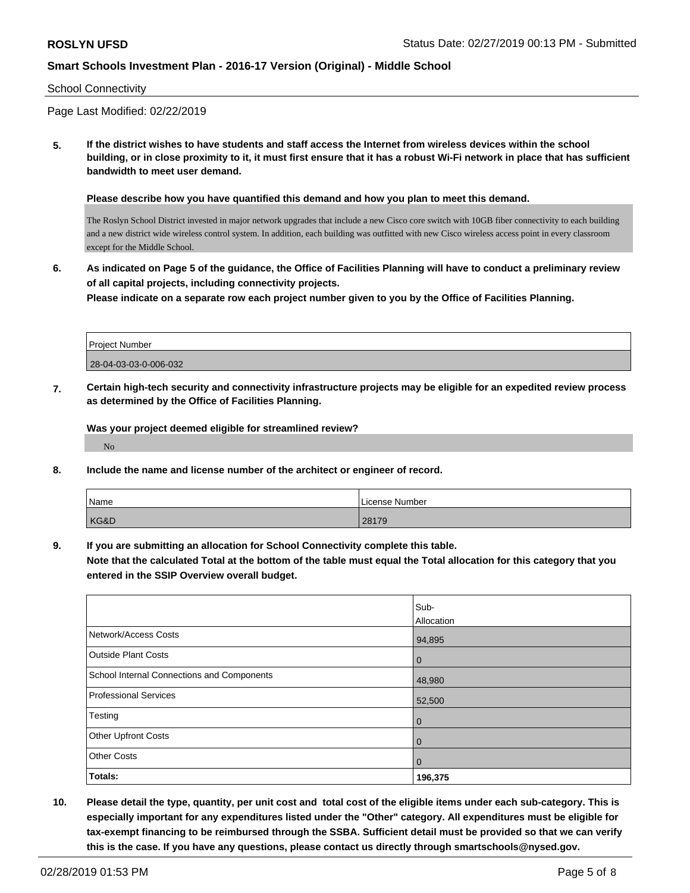#### School Connectivity

Page Last Modified: 02/22/2019

**5. If the district wishes to have students and staff access the Internet from wireless devices within the school building, or in close proximity to it, it must first ensure that it has a robust Wi-Fi network in place that has sufficient bandwidth to meet user demand.**

**Please describe how you have quantified this demand and how you plan to meet this demand.**

The Roslyn School District invested in major network upgrades that include a new Cisco core switch with 10GB fiber connectivity to each building and a new district wide wireless control system. In addition, each building was outfitted with new Cisco wireless access point in every classroom except for the Middle School.

**6. As indicated on Page 5 of the guidance, the Office of Facilities Planning will have to conduct a preliminary review of all capital projects, including connectivity projects.**

**Please indicate on a separate row each project number given to you by the Office of Facilities Planning.**

| <b>Project Number</b> |
|-----------------------|
| 28-04-03-03-0-006-032 |
|                       |

**7. Certain high-tech security and connectivity infrastructure projects may be eligible for an expedited review process as determined by the Office of Facilities Planning.**

**Was your project deemed eligible for streamlined review?**

No

**8. Include the name and license number of the architect or engineer of record.**

| Name | License Number |
|------|----------------|
| KG&D | 28179          |

**9. If you are submitting an allocation for School Connectivity complete this table.**

**Note that the calculated Total at the bottom of the table must equal the Total allocation for this category that you entered in the SSIP Overview overall budget.** 

|                                            | Sub-              |
|--------------------------------------------|-------------------|
|                                            | <b>Allocation</b> |
| Network/Access Costs                       | 94,895            |
| <b>Outside Plant Costs</b>                 | $\mathbf 0$       |
| School Internal Connections and Components | 48,980            |
| Professional Services                      | 52,500            |
| Testing                                    | $\mathbf 0$       |
| Other Upfront Costs                        | $\mathbf 0$       |
| <b>Other Costs</b>                         | $\overline{0}$    |
| Totals:                                    | 196,375           |

**10. Please detail the type, quantity, per unit cost and total cost of the eligible items under each sub-category. This is especially important for any expenditures listed under the "Other" category. All expenditures must be eligible for tax-exempt financing to be reimbursed through the SSBA. Sufficient detail must be provided so that we can verify this is the case. If you have any questions, please contact us directly through smartschools@nysed.gov.**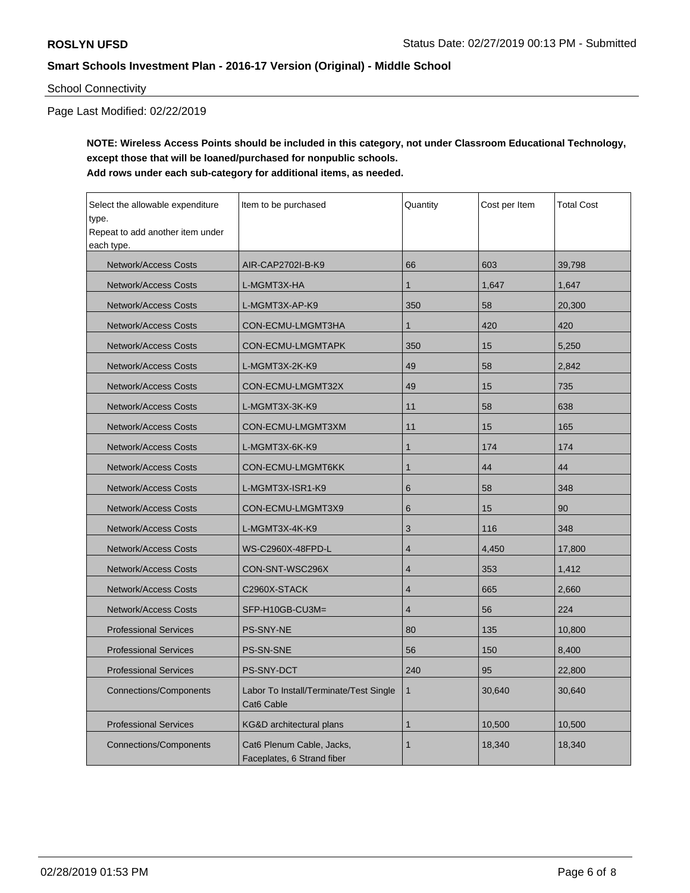## School Connectivity

Page Last Modified: 02/22/2019

## **NOTE: Wireless Access Points should be included in this category, not under Classroom Educational Technology, except those that will be loaned/purchased for nonpublic schools. Add rows under each sub-category for additional items, as needed.**

| Select the allowable expenditure<br>Item to be purchased<br>type.<br>Repeat to add another item under<br>each type. |                                                         | Quantity       | Cost per Item | <b>Total Cost</b> |
|---------------------------------------------------------------------------------------------------------------------|---------------------------------------------------------|----------------|---------------|-------------------|
| <b>Network/Access Costs</b>                                                                                         | AIR-CAP2702I-B-K9                                       | 66             | 603           | 39,798            |
| <b>Network/Access Costs</b>                                                                                         | L-MGMT3X-HA                                             | $\mathbf{1}$   | 1,647         | 1,647             |
| <b>Network/Access Costs</b>                                                                                         | L-MGMT3X-AP-K9                                          | 350            | 58            | 20,300            |
| <b>Network/Access Costs</b>                                                                                         | CON-ECMU-LMGMT3HA                                       | $\mathbf{1}$   | 420           | 420               |
| <b>Network/Access Costs</b>                                                                                         | CON-ECMU-LMGMTAPK                                       | 350            | 15            | 5,250             |
| <b>Network/Access Costs</b>                                                                                         | L-MGMT3X-2K-K9                                          | 49             | 58            | 2,842             |
| <b>Network/Access Costs</b>                                                                                         | CON-ECMU-LMGMT32X                                       | 49             | 15            | 735               |
| <b>Network/Access Costs</b>                                                                                         | L-MGMT3X-3K-K9                                          | 11             | 58            | 638               |
| <b>Network/Access Costs</b>                                                                                         | CON-ECMU-LMGMT3XM                                       | 11             | 15            | 165               |
| Network/Access Costs                                                                                                | L-MGMT3X-6K-K9                                          | $\mathbf{1}$   | 174           | 174               |
| <b>Network/Access Costs</b>                                                                                         | CON-ECMU-LMGMT6KK                                       | $\mathbf{1}$   | 44            | 44                |
| <b>Network/Access Costs</b>                                                                                         | L-MGMT3X-ISR1-K9                                        | 6              | 58            | 348               |
| <b>Network/Access Costs</b>                                                                                         | CON-ECMU-LMGMT3X9                                       | 6              | 15            | 90                |
| <b>Network/Access Costs</b>                                                                                         | L-MGMT3X-4K-K9                                          | 3              | 116           | 348               |
| <b>Network/Access Costs</b>                                                                                         | WS-C2960X-48FPD-L                                       | $\overline{4}$ | 4,450         | 17,800            |
| <b>Network/Access Costs</b>                                                                                         | CON-SNT-WSC296X                                         | $\overline{4}$ | 353           | 1,412             |
| <b>Network/Access Costs</b>                                                                                         | C2960X-STACK                                            | $\overline{4}$ | 665           | 2,660             |
| <b>Network/Access Costs</b>                                                                                         | SFP-H10GB-CU3M=                                         | $\overline{4}$ | 56            | 224               |
| <b>Professional Services</b>                                                                                        | <b>PS-SNY-NE</b>                                        | 80             | 135           | 10,800            |
| <b>Professional Services</b>                                                                                        | PS-SN-SNE                                               | 56             | 150           | 8,400             |
| <b>Professional Services</b>                                                                                        | <b>PS-SNY-DCT</b>                                       | 240            | 95            | 22,800            |
| <b>Connections/Components</b>                                                                                       | Labor To Install/Terminate/Test Single<br>Cat6 Cable    | $\mathbf{1}$   | 30,640        | 30,640            |
| <b>Professional Services</b>                                                                                        | <b>KG&amp;D</b> architectural plans                     | $\mathbf{1}$   | 10,500        | 10,500            |
| <b>Connections/Components</b>                                                                                       | Cat6 Plenum Cable, Jacks,<br>Faceplates, 6 Strand fiber | $\mathbf{1}$   | 18,340        | 18,340            |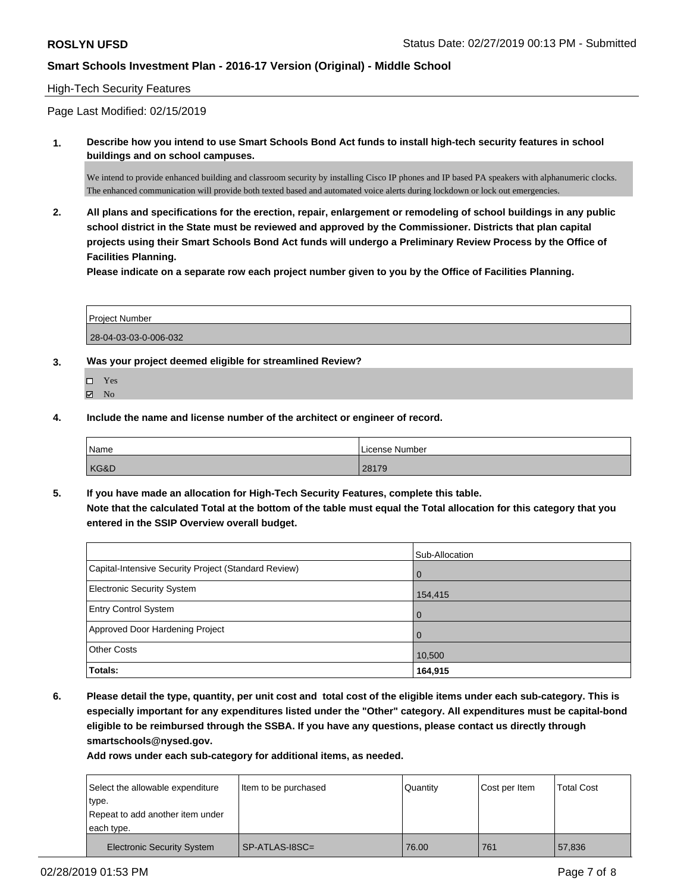#### High-Tech Security Features

Page Last Modified: 02/15/2019

**1. Describe how you intend to use Smart Schools Bond Act funds to install high-tech security features in school buildings and on school campuses.**

We intend to provide enhanced building and classroom security by installing Cisco IP phones and IP based PA speakers with alphanumeric clocks. The enhanced communication will provide both texted based and automated voice alerts during lockdown or lock out emergencies.

**2. All plans and specifications for the erection, repair, enlargement or remodeling of school buildings in any public school district in the State must be reviewed and approved by the Commissioner. Districts that plan capital projects using their Smart Schools Bond Act funds will undergo a Preliminary Review Process by the Office of Facilities Planning.** 

**Please indicate on a separate row each project number given to you by the Office of Facilities Planning.**

| Project Number        |  |
|-----------------------|--|
| 28-04-03-03-0-006-032 |  |

- **3. Was your project deemed eligible for streamlined Review?**
	- Yes
	- **Z** No
- **4. Include the name and license number of the architect or engineer of record.**

| Name | License Number |
|------|----------------|
| KG&D | 28179          |

**5. If you have made an allocation for High-Tech Security Features, complete this table. Note that the calculated Total at the bottom of the table must equal the Total allocation for this category that you entered in the SSIP Overview overall budget.**

|                                                      | Sub-Allocation |
|------------------------------------------------------|----------------|
| Capital-Intensive Security Project (Standard Review) | l O            |
| <b>Electronic Security System</b>                    | 154,415        |
| <b>Entry Control System</b>                          | l 0            |
| Approved Door Hardening Project                      | $\Omega$       |
| <b>Other Costs</b>                                   | 10,500         |
| Totals:                                              | 164,915        |

**6. Please detail the type, quantity, per unit cost and total cost of the eligible items under each sub-category. This is especially important for any expenditures listed under the "Other" category. All expenditures must be capital-bond eligible to be reimbursed through the SSBA. If you have any questions, please contact us directly through smartschools@nysed.gov.**

**Add rows under each sub-category for additional items, as needed.**

|            | Select the allowable expenditure  | Item to be purchased | Quantity | Cost per Item | <b>Total Cost</b> |
|------------|-----------------------------------|----------------------|----------|---------------|-------------------|
| type.      |                                   |                      |          |               |                   |
|            | Repeat to add another item under  |                      |          |               |                   |
| each type. |                                   |                      |          |               |                   |
|            | <b>Electronic Security System</b> | SP-ATLAS-18SC=       | 76.00    | 761           | 57,836            |